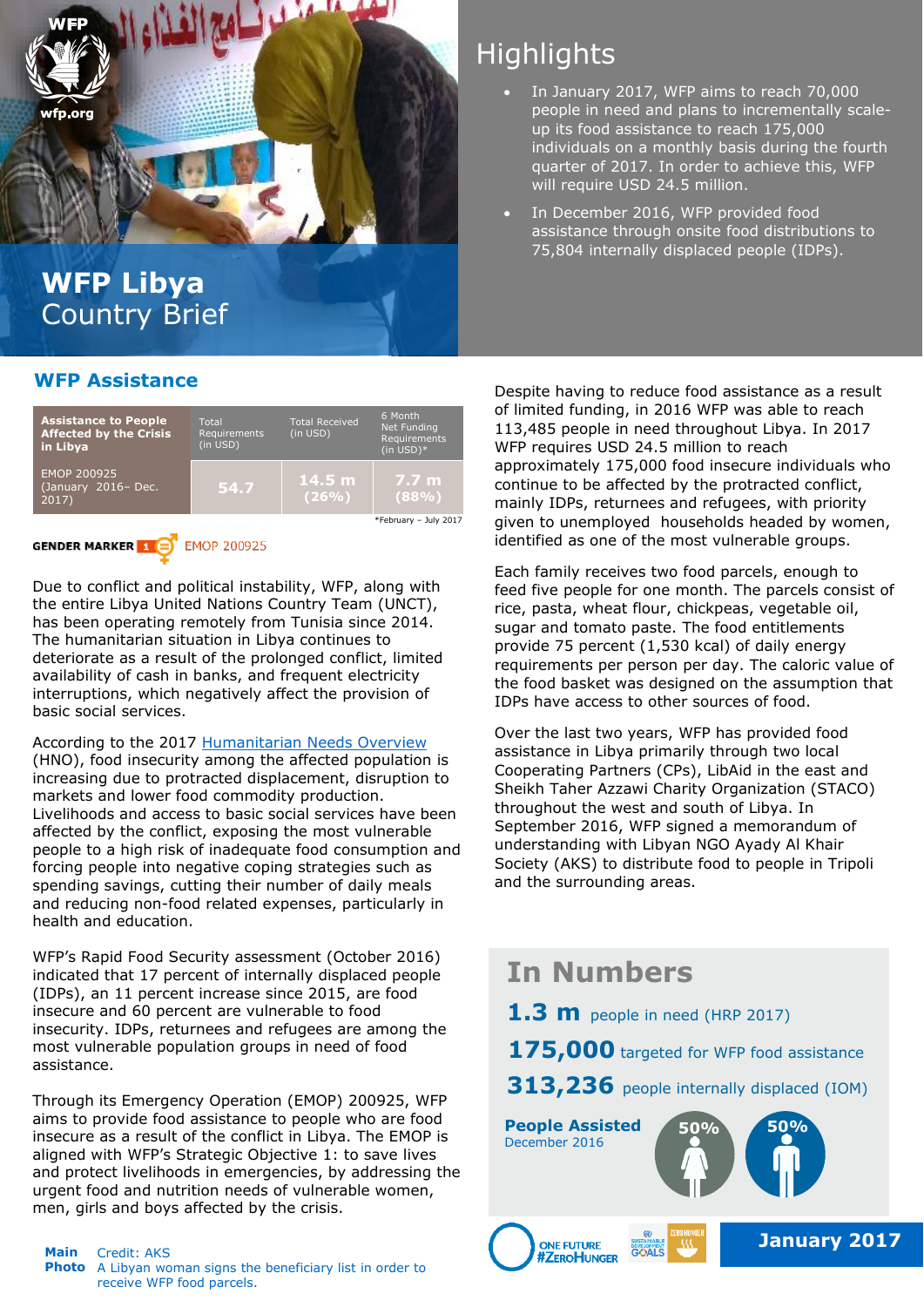

#### **WFP Assistance**

| <b>Assistance to People</b><br><b>Affected by the Crisis</b><br>in Libya | Total<br>Requirements<br>(in USD) | <b>Total Received</b><br>(in USD) | 6 Month<br>Net Funding<br>Requirements<br>$(in USD)*$ |
|--------------------------------------------------------------------------|-----------------------------------|-----------------------------------|-------------------------------------------------------|
| EMOP 200925<br>(January 2016- Dec.<br>2017)                              | 54.7                              | $14.5 \text{ m}$<br>$(26\%)$      | 7.7 <sub>m</sub><br>(88%)                             |
|                                                                          |                                   |                                   | *February - July 2017                                 |

#### **GENDER MARKER 1 B** EMOP 200925

 availability of cash in banks, and frequent electricity Due to conflict and political instability, WFP, along with the entire Libya United Nations Country Team (UNCT), has been operating remotely from Tunisia since 2014. The humanitarian situation in Libya continues to deteriorate as a result of the prolonged conflict, limited interruptions, which negatively affect the provision of basic social services.

According to the 2017 [Humanitarian Needs Overview](http://reliefweb.int/report/libya/2017-libya-humanitarian-needs-overview-november-2016) (HNO), food insecurity among the affected population is increasing due to protracted displacement, disruption to markets and lower food commodity production. Livelihoods and access to basic social services have been affected by the conflict, exposing the most vulnerable people to a high risk of inadequate food consumption and forcing people into negative coping strategies such as spending savings, cutting their number of daily meals and reducing non-food related expenses, particularly in health and education.

WFP's Rapid Food Security assessment (October 2016) indicated that 17 percent of internally displaced people (IDPs), an 11 percent increase since 2015, are food insecure and 60 percent are vulnerable to food insecurity. IDPs, returnees and refugees are among the most vulnerable population groups in need of food assistance.

Through its Emergency Operation (EMOP) 200925, WFP aims to provide food assistance to people who are food insecure as a result of the conflict in Libya. The EMOP is aligned with WFP's Strategic Objective 1: to save lives and protect livelihoods in emergencies, by addressing the urgent food and nutrition needs of vulnerable women, men, girls and boys affected by the crisis.

#### Main Credit: AKS **Photo** A Libyan woman signs the beneficiary list in order to receive WFP food parcels.

# **Highlights**

- In January 2017, WFP aims to reach 70,000 people in need and plans to incrementally scaleup its food assistance to reach 175,000 individuals on a monthly basis during the fourth quarter of 2017. In order to achieve this, WFP will require USD 24.5 million.
- In December 2016, WFP provided food assistance through onsite food distributions to 75,804 internally displaced people (IDPs).

Despite having to reduce food assistance as a result of limited funding, in 2016 WFP was able to reach 113,485 people in need throughout Libya. In 2017 WFP requires USD 24.5 million to reach approximately 175,000 food insecure individuals who continue to be affected by the protracted conflict, mainly IDPs, returnees and refugees, with priority given to unemployed households headed by women, identified as one of the most vulnerable groups.

Each family receives two food parcels, enough to feed five people for one month. The parcels consist of rice, pasta, wheat flour, chickpeas, vegetable oil, sugar and tomato paste. The food entitlements provide 75 percent (1,530 kcal) of daily energy requirements per person per day. The caloric value of the food basket was designed on the assumption that IDPs have access to other sources of food.

Over the last two years, WFP has provided food assistance in Libya primarily through two local Cooperating Partners (CPs), LibAid in the east and Sheikh Taher Azzawi Charity Organization (STACO) throughout the west and south of Libya. In September 2016, WFP signed a memorandum of understanding with Libyan NGO Ayady Al Khair Society (AKS) to distribute food to people in Tripoli and the surrounding areas.

# **In Numbers 1.3 m** people in need (HRP 2017) 175,000 targeted for WFP food assistance 313,236 people internally displaced (IOM) **People Assisted 50% 50%** December 2016 **January 2017 ONE FUTURE #ZEROHUNGER**